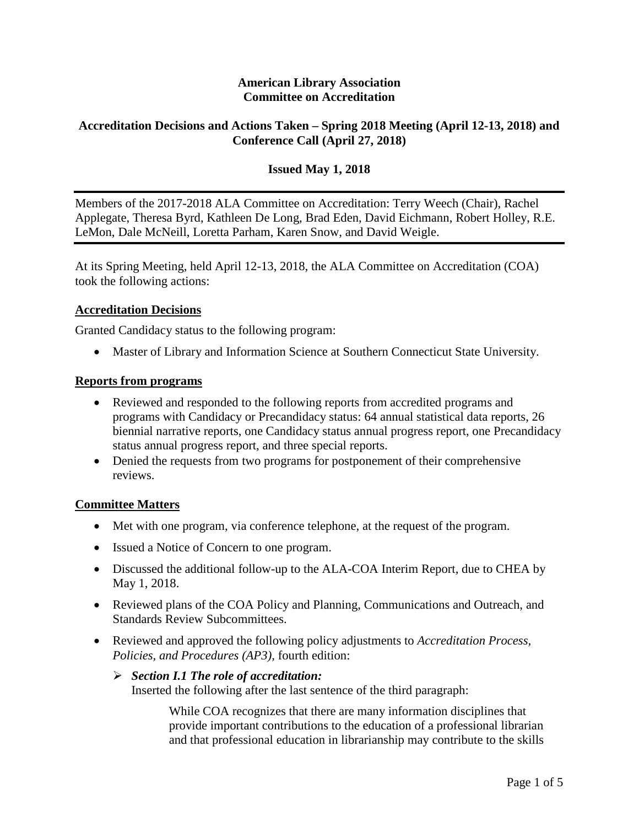### **American Library Association Committee on Accreditation**

## **Accreditation Decisions and Actions Taken – Spring 2018 Meeting (April 12-13, 2018) and Conference Call (April 27, 2018)**

## **Issued May 1, 2018**

Members of the 2017-2018 ALA Committee on Accreditation: Terry Weech (Chair), Rachel Applegate, Theresa Byrd, Kathleen De Long, Brad Eden, David Eichmann, Robert Holley, R.E. LeMon, Dale McNeill, Loretta Parham, Karen Snow, and David Weigle.

At its Spring Meeting, held April 12-13, 2018, the ALA Committee on Accreditation (COA) took the following actions:

#### **Accreditation Decisions**

Granted Candidacy status to the following program:

• Master of Library and Information Science at Southern Connecticut State University.

#### **Reports from programs**

- Reviewed and responded to the following reports from accredited programs and programs with Candidacy or Precandidacy status: 64 annual statistical data reports, 26 biennial narrative reports, one Candidacy status annual progress report, one Precandidacy status annual progress report, and three special reports.
- Denied the requests from two programs for postponement of their comprehensive reviews.

#### **Committee Matters**

- Met with one program, via conference telephone, at the request of the program.
- Issued a Notice of Concern to one program.
- Discussed the additional follow-up to the ALA-COA Interim Report, due to CHEA by May 1, 2018.
- Reviewed plans of the COA Policy and Planning, Communications and Outreach, and Standards Review Subcommittees.
- Reviewed and approved the following policy adjustments to *Accreditation Process, Policies, and Procedures (AP3),* fourth edition:

#### *Section I.1 The role of accreditation:*

Inserted the following after the last sentence of the third paragraph:

While COA recognizes that there are many information disciplines that provide important contributions to the education of a professional librarian and that professional education in librarianship may contribute to the skills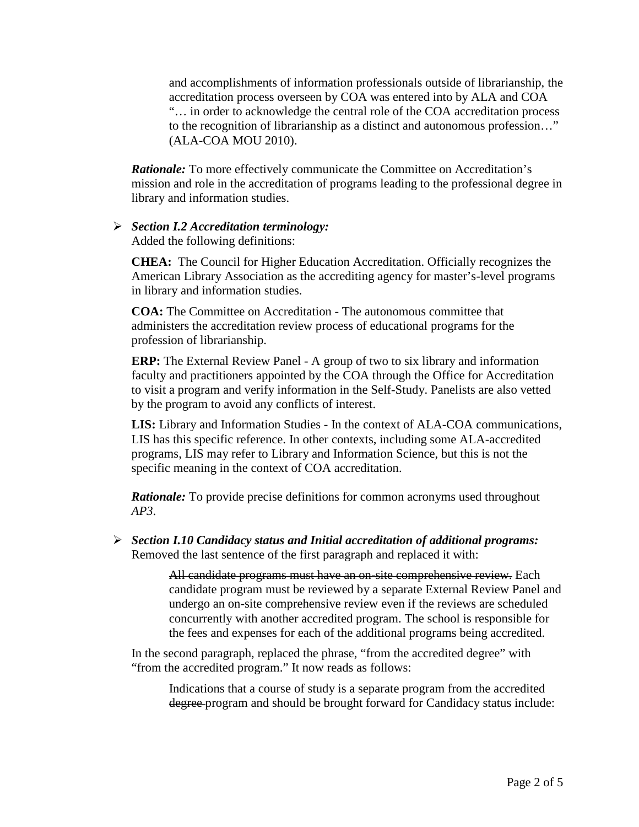and accomplishments of information professionals outside of librarianship, the accreditation process overseen by COA was entered into by ALA and COA "… in order to acknowledge the central role of the COA accreditation process to the recognition of librarianship as a distinct and autonomous profession…" (ALA-COA MOU 2010).

*Rationale:* To more effectively communicate the Committee on Accreditation's mission and role in the accreditation of programs leading to the professional degree in library and information studies.

#### *Section I.2 Accreditation terminology:*

Added the following definitions:

**CHEA:** The Council for Higher Education Accreditation. Officially recognizes the American Library Association as the accrediting agency for master's-level programs in library and information studies.

**COA:** The Committee on Accreditation - The autonomous committee that administers the accreditation review process of educational programs for the profession of librarianship.

**ERP:** The External Review Panel - A group of two to six library and information faculty and practitioners appointed by the COA through the Office for Accreditation to visit a program and verify information in the Self-Study. Panelists are also vetted by the program to avoid any conflicts of interest.

**LIS:** Library and Information Studies - In the context of ALA-COA communications, LIS has this specific reference. In other contexts, including some ALA-accredited programs, LIS may refer to Library and Information Science, but this is not the specific meaning in the context of COA accreditation.

*Rationale:* To provide precise definitions for common acronyms used throughout *AP3*.

 *Section I.10 Candidacy status and Initial accreditation of additional programs:*  Removed the last sentence of the first paragraph and replaced it with:

> All candidate programs must have an on-site comprehensive review. Each candidate program must be reviewed by a separate External Review Panel and undergo an on-site comprehensive review even if the reviews are scheduled concurrently with another accredited program. The school is responsible for the fees and expenses for each of the additional programs being accredited.

In the second paragraph, replaced the phrase, "from the accredited degree" with "from the accredited program." It now reads as follows:

Indications that a course of study is a separate program from the accredited degree program and should be brought forward for Candidacy status include: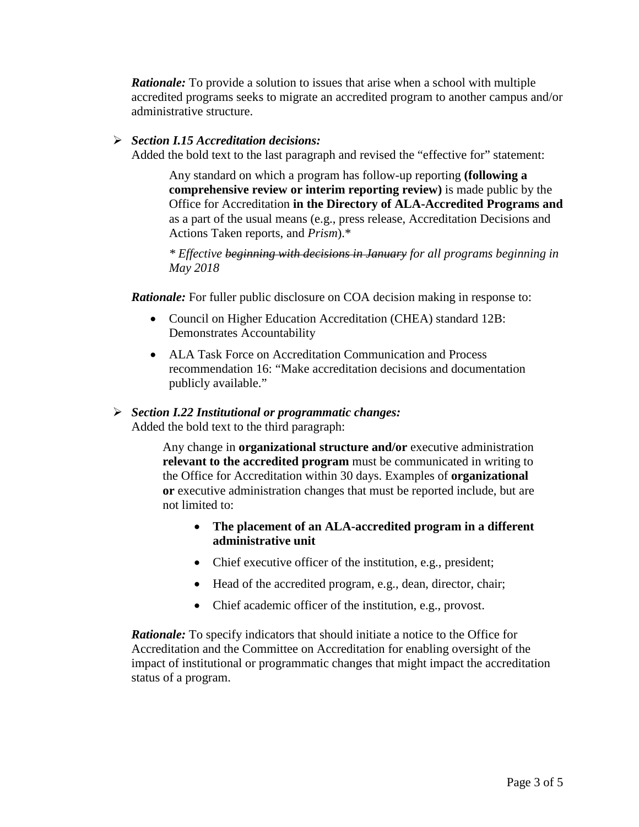*Rationale:* To provide a solution to issues that arise when a school with multiple accredited programs seeks to migrate an accredited program to another campus and/or administrative structure.

### *Section I.15 Accreditation decisions:*

Added the bold text to the last paragraph and revised the "effective for" statement:

Any standard on which a program has follow-up reporting **(following a comprehensive review or interim reporting review)** is made public by the Office for Accreditation **in the Directory of ALA-Accredited Programs and** as a part of the usual means (e.g., press release, Accreditation Decisions and Actions Taken reports, and *Prism*).\*

*\* Effective beginning with decisions in January for all programs beginning in May 2018*

*Rationale:* For fuller public disclosure on COA decision making in response to:

- Council on Higher Education Accreditation (CHEA) standard 12B: Demonstrates Accountability
- ALA Task Force on Accreditation Communication and Process recommendation 16: "Make accreditation decisions and documentation publicly available."

# *Section I.22 Institutional or programmatic changes:*

Added the bold text to the third paragraph:

Any change in **organizational structure and/or** executive administration **relevant to the accredited program** must be communicated in writing to the Office for Accreditation within 30 days. Examples of **organizational or** executive administration changes that must be reported include, but are not limited to:

- **The placement of an ALA-accredited program in a different administrative unit**
- Chief executive officer of the institution, e.g., president;
- Head of the accredited program, e.g., dean, director, chair;
- Chief academic officer of the institution, e.g., provost.

*Rationale:* To specify indicators that should initiate a notice to the Office for Accreditation and the Committee on Accreditation for enabling oversight of the impact of institutional or programmatic changes that might impact the accreditation status of a program.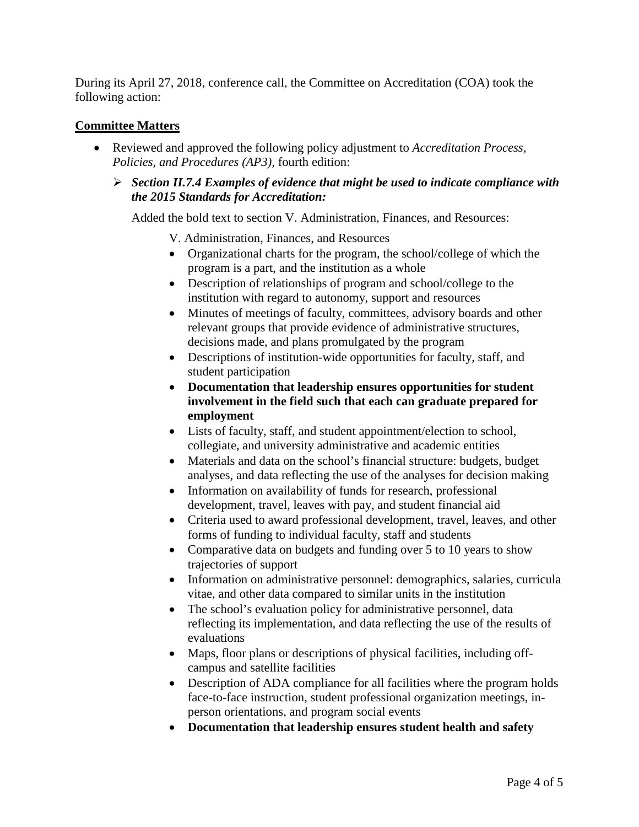During its April 27, 2018, conference call, the Committee on Accreditation (COA) took the following action:

## **Committee Matters**

- Reviewed and approved the following policy adjustment to *Accreditation Process, Policies, and Procedures (AP3),* fourth edition:
	- *Section II.7.4 Examples of evidence that might be used to indicate compliance with the 2015 Standards for Accreditation:*

Added the bold text to section V. Administration, Finances, and Resources:

- V. Administration, Finances, and Resources
- Organizational charts for the program, the school/college of which the program is a part, and the institution as a whole
- Description of relationships of program and school/college to the institution with regard to autonomy, support and resources
- Minutes of meetings of faculty, committees, advisory boards and other relevant groups that provide evidence of administrative structures, decisions made, and plans promulgated by the program
- Descriptions of institution-wide opportunities for faculty, staff, and student participation
- **Documentation that leadership ensures opportunities for student involvement in the field such that each can graduate prepared for employment**
- Lists of faculty, staff, and student appointment/election to school, collegiate, and university administrative and academic entities
- Materials and data on the school's financial structure: budgets, budget analyses, and data reflecting the use of the analyses for decision making
- Information on availability of funds for research, professional development, travel, leaves with pay, and student financial aid
- Criteria used to award professional development, travel, leaves, and other forms of funding to individual faculty, staff and students
- Comparative data on budgets and funding over 5 to 10 years to show trajectories of support
- Information on administrative personnel: demographics, salaries, curricula vitae, and other data compared to similar units in the institution
- The school's evaluation policy for administrative personnel, data reflecting its implementation, and data reflecting the use of the results of evaluations
- Maps, floor plans or descriptions of physical facilities, including offcampus and satellite facilities
- Description of ADA compliance for all facilities where the program holds face-to-face instruction, student professional organization meetings, inperson orientations, and program social events
- **Documentation that leadership ensures student health and safety**